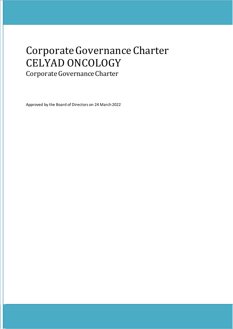# CorporateGovernanceCharter CELYAD ONCOLOGY

Corporate Governance Charter

Approved by the Board of Directors on 24 March 2022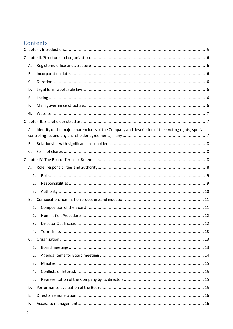# Contents

| Α.          |                                                                                                   |  |
|-------------|---------------------------------------------------------------------------------------------------|--|
| <b>B.</b>   |                                                                                                   |  |
| C.          |                                                                                                   |  |
| D.          |                                                                                                   |  |
| E.          |                                                                                                   |  |
| F.          |                                                                                                   |  |
| G.          |                                                                                                   |  |
|             |                                                                                                   |  |
| А.          | Identity of the major shareholders of the Company and description of their voting rights, special |  |
| <b>B.</b>   |                                                                                                   |  |
| C.          |                                                                                                   |  |
|             |                                                                                                   |  |
| А.          |                                                                                                   |  |
| 1.          |                                                                                                   |  |
| 2.          |                                                                                                   |  |
| 3.          |                                                                                                   |  |
| В.          |                                                                                                   |  |
| 1.          |                                                                                                   |  |
| 2.          |                                                                                                   |  |
| 3.          |                                                                                                   |  |
| 4.          |                                                                                                   |  |
| $C_{\cdot}$ |                                                                                                   |  |
| 1.          |                                                                                                   |  |
| 2.          |                                                                                                   |  |
| 3.          |                                                                                                   |  |
| 4.          |                                                                                                   |  |
| 5.          |                                                                                                   |  |
| D.          |                                                                                                   |  |
| Ε.          |                                                                                                   |  |
| F.          |                                                                                                   |  |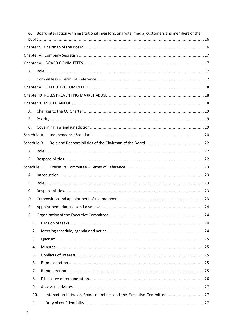|            |     | Board interaction with institutional investors, analysts, media, customers and members of the |
|------------|-----|-----------------------------------------------------------------------------------------------|
|            |     |                                                                                               |
|            |     |                                                                                               |
|            |     |                                                                                               |
|            |     |                                                                                               |
| А.         |     |                                                                                               |
| В.         |     |                                                                                               |
|            |     |                                                                                               |
|            |     |                                                                                               |
|            |     |                                                                                               |
| А.         |     |                                                                                               |
| В.         |     |                                                                                               |
| C.         |     |                                                                                               |
| Schedule A |     |                                                                                               |
| Schedule B |     |                                                                                               |
| А.         |     |                                                                                               |
| В.         |     |                                                                                               |
| Schedule C |     |                                                                                               |
| А.         |     |                                                                                               |
| <b>B.</b>  |     |                                                                                               |
| C.         |     |                                                                                               |
| D.         |     |                                                                                               |
| Ε.         |     |                                                                                               |
| F.         |     |                                                                                               |
|            | 1.  |                                                                                               |
|            | 2.  |                                                                                               |
|            | 3.  |                                                                                               |
|            | 4.  |                                                                                               |
|            | 5.  |                                                                                               |
|            | 6.  |                                                                                               |
|            | 7.  |                                                                                               |
|            | 8.  |                                                                                               |
|            | 9.  |                                                                                               |
|            | 10. | Interaction between Board members and the Executive Committee 27                              |
|            | 11. |                                                                                               |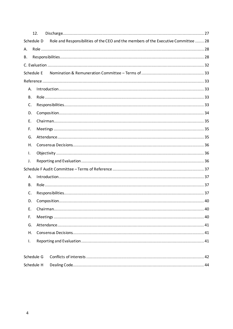|            | 12.                                                                                 |  |  |
|------------|-------------------------------------------------------------------------------------|--|--|
| Schedule D | Role and Responsibilities of the CEO and the members of the Executive Committee  28 |  |  |
| А.         |                                                                                     |  |  |
| В.         |                                                                                     |  |  |
|            |                                                                                     |  |  |
|            | Schedule E                                                                          |  |  |
|            |                                                                                     |  |  |
| А.         |                                                                                     |  |  |
| В.         |                                                                                     |  |  |
| C.         |                                                                                     |  |  |
| D.         |                                                                                     |  |  |
| Е.         |                                                                                     |  |  |
| F.         |                                                                                     |  |  |
| G.         |                                                                                     |  |  |
| Н.         |                                                                                     |  |  |
| I.         |                                                                                     |  |  |
| J.         |                                                                                     |  |  |
|            |                                                                                     |  |  |
| А.         |                                                                                     |  |  |
| В.         |                                                                                     |  |  |
| C.         |                                                                                     |  |  |
| D.         |                                                                                     |  |  |
| Ε.         |                                                                                     |  |  |
| F.         |                                                                                     |  |  |
| G.         |                                                                                     |  |  |
| Η.         |                                                                                     |  |  |
| Ι.         |                                                                                     |  |  |
|            |                                                                                     |  |  |
|            | Schedule G                                                                          |  |  |
| Schedule H |                                                                                     |  |  |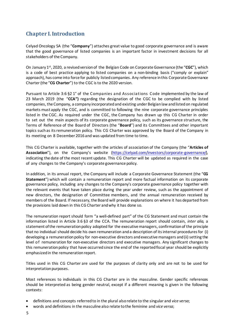## <span id="page-4-0"></span>**Chapter I. Introduction**

Celyad Oncology SA (the "**Company**") attaches great value to good corporate governance and is aware that the good governance of listed companies is an important factor in investment decisions for all stakeholders of the Company.

On January 1st, 2020, a revised version of the Belgian Code on CorporateGovernance (the "**CGC**"), which is a code of best practice applying to listed companies on a non-binding basis ("comply or explain" approach), has come into force for publicly listed companies. Any reference in this Corporate Governance Charter(the "**CG Charter**") to the CGC isto the 2020 version.

Pursuant to Article 3:6 §2 1° of the Companies and Associations Code implemented by the law of 23 March 2019 (the "**CCA")** regarding the designation of the CGC to be complied with by listed companies, the Company, a company incorporatedand existing under Belgianlaw andlistedon regulated markets must apply the CGC, and is committed to following the nine corporate governance principles listed in the CGC. As required under the CGC, the Company has drawn up this CG Charter in order to set out the main aspects of its corporate governance policy, such as its governance structure, the Terms of Reference of the Board of Directors (the "**Board**") and its Committees and other important topics such as its remuneration policy. This CG Charter was approved by the Board of the Company in its meeting on 8 December 2016 and was updated from time to time.

This CG Charter is available, together with the articles of association of the Company (the "**Articles of Association**"), on the Company's website (https://celyad.com/investors/corporate-governance/), indicating the date of the most recent update. This CG Charter will be updated as required in the case of any changes to the Company's corporate governance policy.

In addition, in its annual report, the Company will include a Corporate Governance Statement (the "**CG Statement**") which will contain a remuneration report and more factual information on its corporate governance policy, including any changes to the Company's corporate governance policy together with the relevant events that have taken place during the year under review, such as the appointment of new directors, the designation of Committee members, and the annual remuneration received by members of the Board. If necessary, the Board will provide explanations on where it has departed from the provisions laid down in this CG Charter andwhy it has done so.

The remuneration report should form "a well-defined part" of the CG Statement and must contain the information listed in Article 3:6 §3 of the CCA. The remuneration report should contain, *inter alia*, a statement of the remuneration policy adopted for the executivemanagers, confirmation of the principle that no individual should decide his own remuneration anda description of itsinternal procedures for (i) developing a remuneration policy for non-executive directors and executive managers and (ii) setting the level of remuneration for non-executive directors and executive managers. Any significant changes to this remuneration policy that have occurred since the end of the reportedfiscal year should be explicitly emphasized in the remuneration report.

Titles used in this CG Charter are used for the purposes of clarity only and are not to be used for interpretation purposes.

Most references to individuals in this CG Charter are in the masculine. Gender specific references should be interpreted as being gender neutral, except if a different meaning is given in the following contexts:

- definitions and concepts referred to in the plural alsorelate to the singular and *vice versa*;
- words and definitions in the masculine also relate tothe feminine and *vice versa*;
- 5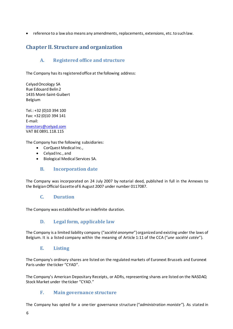• reference to a law also means any amendments, replacements, extensions, etc.tosuchlaw.

## <span id="page-5-0"></span>**Chapter II. Structure and organization**

## **A. Registered office and structure**

<span id="page-5-1"></span>The Company has its registered office at the following address:

Celyad Oncology SA Rue Edouard Belin2 1435 Mont-Saint-Guibert Belgium

Tel.: +32 (0)10 394 100 Fax: +32 (0)10 394 141 E-mail: [investors@celyad.com](mailto:investors@celyad.com) VAT BE 0891.118.115

The Company has the following subsidiaries:

- CorQuest Medical Inc.,
- Celyad Inc., and
- Biological Medical Services SA.

#### **B. Incorporation date**

<span id="page-5-2"></span>The Company was incorporated on 24 July 2007 by notarial deed, published in full in the Annexes to the BelgianOfficial Gazette of6 August 2007 under number 0117087.

#### **C. Duration**

<span id="page-5-3"></span>The Company was established for an indefinite duration.

#### **D. Legal form, applicable law**

<span id="page-5-4"></span>The Company is a limited liability company ("société anonyme") organized and existing under the laws of Belgium. It is a listed company within the meaning of Article 1:11 of the CCA ("*une société cotée*").

#### **E. Listing**

<span id="page-5-5"></span>The Company's ordinary shares are listed on the regulated markets of Euronext Brussels and Euronext Paris under the ticker "CYAD".

The Company's American Depositary Receipts, or ADRs, representing shares are listed on the NASDAQ Stock Market under the ticker "CYAD."

#### **F. Main governance structure**

<span id="page-5-6"></span>The Company has opted for a one-tier governance structure ("*administration moniste"*). As stated in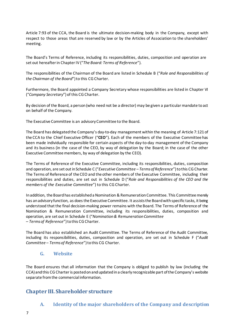Article 7:93 of the CCA, the Board is the ultimate decision-making body in the Company, except with respect to those areas that are reserved by law or by the Articles of Association to the shareholders' meeting.

The Board's Terms of Reference, including its responsibilities, duties, composition and operation are set out hereafterin Chapter IV ("*The Board: Terms of Reference*").

The responsibilities of the Chairman of the Board are listed in Schedule B ("*Role and Responsibilities of the Chairman of the Board*")to this CG Charter.

Furthermore, the Board appointed a Company Secretary whose responsibilities are listed in Chapter VI ("*Company Secretary*")of this CG Charter.

By decision of the Board, a person (who need not be a director) may be given a particular mandate to act on behalf of the Company.

The Executive Committee is an advisoryCommittee to the Board.

The Board has delegated the Company's day-to-day management within the meaning of Article 7:121 of the CCA to the Chief Executive Officer ("**CEO**"). Each of the members of the Executive Committee has been made individually responsible for certain aspects of the day-to-day management of the Company and its business (in the case of the CEO, by way of delegation by the Board; in the case of the other Executive Committee members, by way of delegation by the CEO).

The Terms of Reference of the Executive Committee, including its responsibilities, duties, composition and operation, are set outin Schedule C ("*Executive Committee – Termsof Reference*")tothis CGCharter. The Terms of Reference of the CEO and the other members of the Executive Committee, including their responsibilities and duties, are set out in Schedule D ("*Role and Responsibilities of the CEO and the members of the Executive Committee*") to this CG Charter.

Inaddition, the Boardhas establisheda Nomination & RemunerationCommittee. This Committee merely has an advisory function, as does the Executive Committee. It assists the Board with specific tasks, it being understood that the final decision-making power remains with the Board. The Terms of Reference of the Nomination & Remuneration Committee, including its responsibilities, duties, composition and operation, are set out in Schedule E ("*Nomination& Remuneration Committee – Termsof Reference*")tothis CG Charter.

The Board has also established an Audit Committee. The Terms of Reference of the Audit Committee, including its responsibilities, duties, composition and operation, are set out in Schedule F ("*Audit Committee – Termsof Reference*")tothis CG Charter.

#### **G. Website**

<span id="page-6-0"></span>The Board ensures that all information that the Company is obliged to publish by law (including the CCA) andthis CGCharteris postedonandupdatedin a clearly recognizable part ofthe Company's website separate fromthe commercial information.

## <span id="page-6-2"></span><span id="page-6-1"></span>**Chapter III. Shareholder structure**

#### **A. Identity of the major shareholders of the Company and description**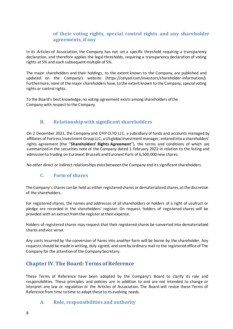#### **of their voting rights, special control rights and any shareholder agreements, if any**

In its Articles of Association, the Company has not set a specific threshold requiring a transparency declaration, and therefore applies the legal thresholds, requiring a transparency declaration of voting rights at 5% and each subsequent multiple of 5%.

The major shareholders and their holdings, to the extent known to the Company, are published and updated on the Company's website (https://celyad.com/investors/shareholder-information/). Furthermore, none of the major shareholders have, to the extent known to the Company, special voting rights or control rights.

To the Board's best knowledge, no voting agreement exists among shareholders of the Company with respect to the Company.

#### **B. Relationshipwith significant shareholders**

<span id="page-7-0"></span>On 2 December 2021, the Company and CFIP CLYD LLC, a subsidiary of funds and accounts managed by affiliates of Fortress Investment Group LLC, a US global investment manager, entered into a shareholders' rights agreement (the "**Shareholders' Rights Agreement**"), the terms and conditions of which are summarized in the securities note of the Company dated 1 February 2022 in relation to the listing and admission to trading on Euronext Brussels and Euronext Paris of 6,500,000 new shares.

<span id="page-7-1"></span>No other direct or indirect relationships exist between the Company and its significant shareholders.

#### **C. Form of shares**

The Company's shares can be held as either registered shares or dematerialized shares, at the discretion of the shareholders.

For registered shares, the names and addresses of all shareholders or holders of a right of usufruct or pledge are recorded in the shareholders' register. On request, holders of registered shares will be provided with an extract from the register at their expense.

Holders of registered shares may request that their registered shares be converted into dematerialized shares and *vice versa*.

Any costs incurred by the conversion of hares into another form will be borne by the shareholder. Any requestsshould be made in writing, duly signed, and sent by ordinary mail to the registeredoffice of The Company for the attention of the Company Secretary.

## <span id="page-7-2"></span>**Chapter IV. The Board: Terms of Reference**

These Terms of Reference have been adopted by the Company's Board to clarify its role and responsibilities. These principles and policies are in addition to and are not intended to change or interpret any law or regulation or the Articles of Association. The Board will revise these Terms of Reference from time to time to adapt these to its evolving needs.

#### <span id="page-7-3"></span>**A. Role, responsibilities and authority**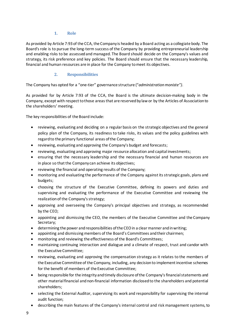#### **1. Role**

<span id="page-8-0"></span>As provided by Article 7:93 of the CCA, the Company is headed by a Board acting as a collegiate body. The Board's role is to pursue the long-term success of the Company by providing entrepreneurial leadership and enabling risks to be assessedand managed. The Board should decide on the Company's values and strategy, its risk preference and key policies. The Board should ensure that the necessary leadership, financial and human resources are in place for the Company tomeet its objectives.

#### **2. Responsibilities**

<span id="page-8-1"></span>The Company has opted for a "one-tier" governance structure ("*administration moniste")*.

As provided for by Article 7:93 of the CCA, the Board is the ultimate decision-making body in the Company, except with respect to those areas that are reserved by law or by the Articles of Association to the shareholders' meeting.

The key responsibilities of the Board include:

- reviewing, evaluating and deciding on a regular basis on the strategic objectives and the general policy plan of the Company, its readiness to take risks, its values and the policy guidelines with regard to the primary functional areas of the Company;
- reviewing, evaluating and approving the Company's budget and forecasts;
- reviewing, evaluating and approving major resource allocation and capital investments;
- ensuring that the necessary leadership and the necessary financial and human resources are in place so that the Company can achieve its objectives;
- reviewing the financial and operating results of the Company;
- monitoring and evaluating the performance of the Company againstitsstrategic goals, plans and budgets;
- choosing the structure of the Executive Committee, defining its powers and duties and supervising and evaluating the performance of the Executive Committee and reviewing the realization of the Company's strategy;
- approving and overseeing the Company's principal objectives and strategy, as recommended by the CEO;
- appointing and dismissing the CEO, the members of the Executive Committee and the Company Secretary;
- determining the power and responsibilities of the CEO in a clear manner and in writing;
- appointing and dismissing members of the Board's Committees andtheir chairmen;
- monitoring and reviewing the effectiveness of the Board's Committees;
- maintaining continuing interaction and dialogue and a climate of respect, trust and candor with the Executive Committee;
- reviewing, evaluating and approving the compensation strategy as it relates to the members of the Executive Committee of the Company, including, any decisionto implement incentive schemes for the benefit of members of the Executive Committee;
- being responsible for the integrity and timely disclosure of the Company's financial statements and other materialfinancial andnon-financial information disclosedto the shareholders and potential shareholders;
- selecting the External Auditor, supervising its work and responsibility for supervising the internal audit function;
- describing the main features of the Company's internal control and risk management systems, to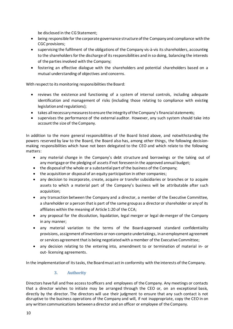be disclosed in the CG Statement;

- being responsible for the corporate governance structure of the Companyand compliance with the CGC provisions;
- supervising the fulfilment of the obligations of the Company vis-à-vis its shareholders, accounting to the shareholders for the discharge of its responsibilities and in so doing, balancing the interests of the parties involved with the Company;
- fostering an effective dialogue with the shareholders and potential shareholders based on a mutual understanding of objectives and concerns.

With respect to its monitoring responsibilities the Board:

- reviews the existence and functioning of a system of internal controls, including adequate identification and management of risks (including those relating to compliance with existing legislationand regulations);
- takes all necessary measures to ensure the integrity of the Company's financial statements;
- supervises the performance of the external auditor. However, any such system should take into account the size of the Company.

In addition to the more general responsibilities of the Board listed above, and notwithstanding the powers reserved by law to the Board, the Board also has, among other things, the following decisionmaking responsibilities which have not been delegated to the CEO and which relate to the following matters:

- any material change in the Company's debt structure and borrowings or the taking out of any mortgage or the pledging of assets if not foreseenin the approved annual budget;
- the disposalof the whole or a substantial part of the business of the Company;
- the acquisition or disposal of an equity participation in other companies;
- any decision to incorporate, create, acquire or transfer subsidiaries or branches or to acquire assets to which a material part of the Company's business will be attributable after such acquisition;
- any transaction between the Company and a director, a member of the Executive Committee, a shareholder or a person that is part of the same group as a director or shareholder or any of its affiliates within the meaning of Article 1:20 of the CCA;
- any proposal for the dissolution, liquidation, legal merger or legal de-merger of the Company in any manner;
- any material variation to the terms of the Board-approved standard confidentiality provisions, assignment ofinventions or non-compete undertakings, inanemployment agreement or services agreement that is being negotiated with a member of the Executive Committee;
- any decision relating to the entering into, amendment to or termination of material in- or out- licensing agreements.

<span id="page-9-0"></span>In the implementationof its tasks, the Boardmust act in conformity with the interests of the Company.

#### **3. Authority**

Directors have full and free access to officers and employees of the Company. Any meetings or contacts that a director wishes to initiate may be arranged through the CEO or, on an exceptional basis, directly by the director. The directors will use their judgment to ensure that any such contact is not disruptive to the business operations of the Company and will, if not inappropriate, copy the CEO in on any writtencommunications betweena director and an officer or employee of the Company.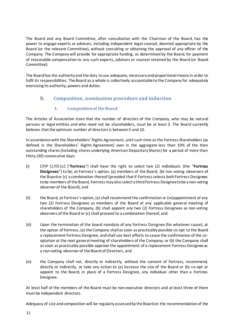The Board and any Board Committee, after consultation with the Chairman of the Board, has the power to engage experts or advisors, including independent legal counsel, deemed appropriate by the Board (or the relevant Committee), without consulting or obtaining the approval of any officer of the Company. The Company will provide for appropriate funding, as determined by the Board, for payment of reasonable compensation to any such experts, advisors or counsel retained by the Board (or Board Committee).

The Board has the authority and the duty to use adequate, necessary and proportional means in order to fulfil its responsibilities. The Board as a whole is collectively accountable to the Company for adequately exercising its authority, powers and duties.

#### <span id="page-10-0"></span>**B. Composition, nomination procedure and induction**

#### **1. Composition of the Board**

<span id="page-10-1"></span>The Articles of Association state that the number of directors of the Company, who may be natural persons or legal entities and who need not be shareholders, must be at least 3. The Board currently believes that the optimum number of directors is between 5 and 10.

In accordance with the Shareholders' Rights Agreement, until such time as the Fortress Shareholders (as defined in the Shareholders' Rights Agreement) own in the aggregate less than 10% of the then outstanding shares (including shares underlying American Depositary Shares) for a period of more than thirty (30) consecutive days:

- (i) CFIP CLYD LLC ("**Fortress**") shall have the right to select two (2) individuals (the "**Fortress Designees**") to be, at Fortress's option, (a) members of the Board, (b) non-voting observers of the Board or (c) a combination thereof (provided that if Fortress selects both Fortress Designees to be members of the Board, Fortress may also select a third Fortress Designee to be a non-voting observer of the Board), and
- (ii) the Board, at Fortress's option, (a) shall recommend the confirmation or (re)appointment of any two (2) Fortress Designees as members of the Board at any applicable general meeting of shareholders of the Company, (b) shall appoint any two (2) Fortress Designees as non-voting observers of the Board or (c) shall proceed to a combination thereof, and
- (iii) Upon the termination of the board mandate of any Fortress Designee (for whatever cause), at the option of Fortress, (a) the Company shall as soon as practicably possible co-opt to the Board a replacement Fortress Designee, and shall use best efforts to cause the confirmation of the cooptation at the next general meeting of shareholders of the Company; or (b) the Company shall as soon as practicably possible approve the appointment of a replacement Fortress Designee as a non-voting observer of the Board of Directors, and
- (iv) the Company shall not, directly or indirectly, without the consent of Fortress, recommend, directly or indirectly, or take any action to (a) increase the size of the Board or (b) co-opt or appoint to the Board, in place of a Fortress Designee, any individual other than a Fortress Designee.

At least half of the members of the Board must be non-executive directors and at least three of them must be independent directors.

Adequacy of size andcomposition will be regularly assessedby the Board on the recommendationof the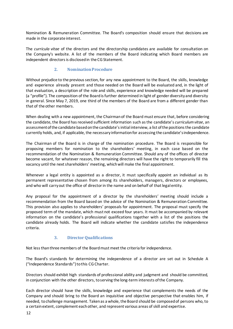Nomination & Remuneration Committee. The Board's composition should ensure that decisions are made in the corporate interest.

The *curricula vitae* of the directors and the directorship candidates are available for consultation on the Company's website. A list of the members of the Board indicating which Board members are independent directors is disclosed in the CG Statement.

#### **2. NominationProcedure**

<span id="page-11-0"></span>Without prejudice to the previous section, for any new appointment to the Board, the skills, knowledge and experience already present and those needed on the Board will be evaluated and, in the light of that evaluation, a description of the role and skills, experience and knowledge needed will be prepared (a "profile"). The composition of the Board is further determined in light of gender diversity and diversity in general. Since May 7, 2019, one third of the members of the Board are from a different gender than that of the other members.

When dealing with a new appointment, the Chairman of the Board must ensure that, before considering the candidate, the Board hasreceived sufficient information such asthe candidate's *curriculumvitae*, an assessment of the candidate based on the candidate's initial interview, a list of the positions the candidate currently holds, and, if applicable, the necessary information for assessing the candidate's independence.

The Chairman of the Board is in charge of the nomination procedure. The Board is responsible for proposing members for nomination to the shareholders' meeting, in each case based on the recommendation of the Nomination & Remuneration Committee. Should any of the offices of director become vacant, for whatever reason, the remaining directors will have the right to temporarily fill this vacancy until the next shareholders' meeting, which will make the final appointment.

Whenever a legal entity is appointed as a director, it must specifically appoint an individual as its permanent representative chosen from among its shareholders, managers, directors or employees, and who will carryout the office of director in the name and on behalf of that legal entity.

Any proposal for the appointment of a director by the shareholders' meeting should include a recommendation from the Board based on the advice of the Nomination & Remuneration Committee. This provision also applies to shareholders' proposals for appointment. The proposal must specify the proposed term of the mandate, which must not exceed four years. It must be accompanied by relevant information on the candidate's professional qualifications together with a list of the positions the candidate already holds. The Board will indicate whether the candidate satisfies the independence criteria.

#### **3. Director Qualifications**

<span id="page-11-1"></span>Not less thanthreemembers of the Boardmust meet the criteria for independence.

The Board's standards for determining the independence of a director are set out in Schedule A ("Independence Standards") to this CG Charter.

Directors should exhibit high standards of professional ability and judgment and should be committed, in conjunction with the other directors, toserving the long-term interests of the Company.

Each director should have the skills, knowledge and experience that complements the needs of the Company and should bring to the Board an inquisitive and objective perspective that enables him, if needed, tochallenge management. Takenas a whole, the Board should be composed of persons who, to a certainextent, complement eachother, and represent various areas of skill and expertise.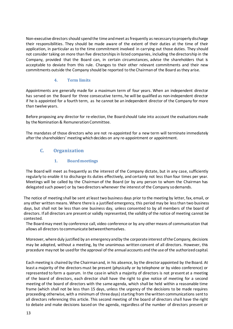Non-executive directors should spend the time and meet as frequently as necessary to properly discharge their responsibilities. They should be made aware of the extent of their duties at the time of their application, in particular as to the time commitment involved in carrying out those duties. They should not consider taking on more than five directorshipsin listed companies, including the directorship in the Company, provided that the Board can, in certain circumstances, advise the shareholders that is acceptable to deviate from this rule. Changes to their other relevant commitments and their new commitments outside the Company should be reported to the Chairmanof the Board as they arise.

#### **4. Term limits**

<span id="page-12-0"></span>Appointments are generally made for a maximum term of four years. When an independent director has served on the Board for three consecutive terms, he will be qualified as non-independent director if he is appointed for a fourth term, as he cannot be an independent director of the Company for more than twelve years.

Before proposing any director for re-election, the Board should take into account the evaluations made by the Nomination & Remuneration Committee.

The mandates of those directors who are not re-appointed for a new term will terminate immediately after the shareholders' meeting which decides on any re-appointment or appointment.

#### <span id="page-12-1"></span>**C. Organization**

#### **1. Board meetings**

<span id="page-12-2"></span>The Board will meet as frequently as the interest of the Company dictate, but in any case, sufficiently regularly to enable it to discharge its duties effectively, and certainly not less than four times per year. Meetings will be called by the Chairman of the Board (or by any person to whom the Chairman has delegated such power) or by twodirectors whenever the interest of the Company so demands.

The notice of meeting shall be sent at least two business days prior to the meeting by letter, fax, email, or any other written means. Where there is a justified emergency, this period may be less than two business days, but shall not be less than one business day, unless consented to by all members of the board of directors. If all directors are present or validly represented, the validity of the notice of meeting cannot be contested.

The Board may meet by conference call, video conference or by any othermeans of communication that allows all directors to communicate betweenthemselves.

Moreover, where duly justified by an emergency and by the corporate interest of the Company, decisions may be adopted, without a meeting, by the unanimous written consent of all directors. However, this procedure maynot be usedfor the approval of the annual accounts and the use of the authorizedcapital.

Each meeting is chaired by the Chairmanand, in his absence, by the director appointed by the Board. At least a majority of the directors must be present (physically or by telephone or by video conference) or represented to form a quorum. In the case in which a majority of directors is not present at a meeting of the board of directors, each director shall have the right to give notice of meeting for a second meeting of the board of directors with the same agenda, which shall be held within a reasonable time frame (which shall not be less than 15 days, unless the urgency of the decisions to be made requires proceeding otherwise, with a minimum of three days) starting from the written communications sent to all directors referencing this article. This second meeting of the board of directors shall have the right to debate and make decisions based on the agenda, regardless of the number of directors present or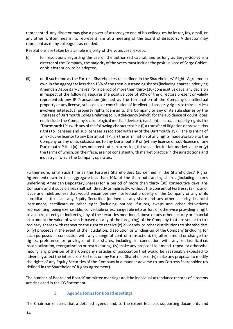represented. Any director may give a power of attorney to one of his colleagues by letter, fax, email, or any other written means, to represent him at a meeting of the board of directors. A director may represent as many colleagues as needed.

Resolutions are taken by a simple majority of the votes cast, except:

- (i) for resolutions regarding the use of the authorized capital, and as long as Serge Goblet is a director of the Company, the majority of the votes must include the positive vote of Serge Goblet, or his abstention, to be adopted;
- (ii) until such time as the Fortress Shareholders (as defined in the Shareholders' Rights Agreement) own in the aggregate less than 15% of the then outstanding shares (including shares underlying American Depositary Shares) for a period of more than thirty (30) consecutive days, any decision in respect of the following requires the positive vote of 90% of the directors present or validly represented: any IP Transaction (defined as the termination of the Company's intellectual property or any license, sublicense or contribution of intellectual property rights to third parties) involving intellectual property rights licensed to the Company or any of its subsidiaries by the Trustees of Dartmouth College relating to TCR deficiency (which, for the avoidance of doubt, does not include the Company's cardiological medical devices), (such intellectual property rights the "**Dartmouth IP**") with any of the following characteristics: (i) a transfer of litigation or prosecution rights to licensees and sublicensees associated with any of the Dartmouth IP, (ii) the granting of an exclusive license to any Dartmouth IP, (iii) the termination of any rights made available to the Company or any of its subsidiaries to any Dartmouth IP or (iv) any license or sub-license of any Dartmouth IP that (x) does not constitute an arms-length transaction for fair market value or (y) the terms of which, on their face, are not consistent with market practice in the jurisdictions and industry in which the Company operates.

Furthermore, until such time as the Fortress Shareholders (as defined in the Shareholders' Rights Agreement) own in the aggregate less than 10% of the then outstanding shares (including shares underlying American Depositary Shares) for a period of more than thirty (30) consecutive days, the Company and it subsidiaries shall not, directly or indirectly, without the consent of Fortress, (a) incur or issue any indebtedness that would encumber any intellectual property of the Company or any of its subsidiaries, (b) issue any Equity Securities (defined as any share and any other security, financial instrument, certificate or other right (including options, futures, swaps and other derivatives) representing, being exercisable, convertible or exchangeable into or for, or otherwise providing a right to acquire, directly or indirectly, any of the securities mentioned above or any other security or financial instrument the value of which is based on any of the foregoing) of the Company that are senior to the ordinary shares with respect to the right to receive (x) dividends or other distributions to shareholders or (y) proceeds in the event of the liquidation, dissolution or winding-up of the Company (including for such purposes in connection with any change of control transaction), (iii) alter, amend or change the rights, preference or privileges of the shares, including in connection with any reclassification, recapitalization, reorganization or restructuring, (iv) make any proposal to amend, repeal or otherwise modify any provision of the Company's articles of association that would be reasonably expected to adversely affect the interests of Fortress or any Fortress Shareholder or (v) make any proposal to modify the rights of any Equity Securities of the Company in a manner adverse to any Fortress Shareholder (as defined in the Shareholders' Rights Agreement).

The number of Board and Board Committee meetings andthe individual attendance records of directors are disclosed in the CG Statement.

#### **2. Agenda Items for Board meetings**

<span id="page-13-0"></span>The Chairman ensures that a detailed agenda and, to the extent feasible, supporting documents and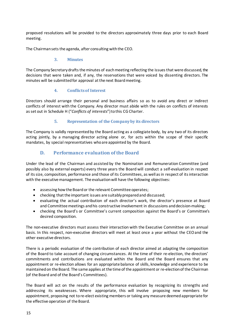proposed resolutions will be provided to the directors approximately three days prior to each Board meeting.

The Chairman sets the agenda, after consulting with the CEO.

#### **3. Minutes**

<span id="page-14-0"></span>The Company Secretary drafts the minutes of each meeting reflecting the issues that were discussed, the decisions that were taken and, if any, the reservations that were voiced by dissenting directors. The minutes will be submitted for approval at the next Board meeting.

#### **4. Conflicts of Interest**

<span id="page-14-1"></span>Directors should arrange their personal and business affairs so as to avoid any direct or indirect conflicts of interest with the Company. Any director must abide with the rules on conflicts of interests as set out in Schedule H ("*Conflicts of interests*")tothis CG Charter.

#### **5. Representation of the Company by its directors**

<span id="page-14-2"></span>The Company is validly represented by the Board acting as a collegiate body, by any two of its directors acting jointly, by a managing director acting alone or, for acts within the scope of their specific mandates, by special representatives who are appointed by the Board.

#### **D. Performance evaluation of the Board**

<span id="page-14-3"></span>Under the lead of the Chairman and assisted by the Nomination and Remuneration Committee (and possibly also by external experts) every three years the Board will conduct a self-evaluation in respect of its size, composition, performance and those of its Committees, as well asin respect of its interaction with the executive management. The evaluation will have the following objectives:

- assessing howthe Boardor the relevant Committee operates;
- checking that the important issues are suitably prepared and discussed;
- evaluating the actual contribution of each director's work, the director's presence at Board and Committee meetings and his constructive involvement in discussions and decision-making;
- checking the Board's or Committee's current composition against the Board's or Committee's desired composition.

The non-executive directors must assess their interaction with the Executive Committee on an annual basis. In this respect, non-executive directors will meet at least once a year without the CEO and the other executive directors.

There is a periodic evaluation of the contribution of each director aimed at adapting the composition of the Board to take account of changing circumstances. At the time of their re-election, the directors' commitments and contributions are evaluated within the Board and the Board ensures that any appointment or re-election allows for an appropriate balance of skills, knowledge and experience to be maintainedon the Board. The same applies atthe time of the appointment or re-electionof the Chairman (of the Board and of the Board's Committees).

The Board will act on the results of the performance evaluation by recognizing its strengths and addressing its weaknesses. Where appropriate, this will involve proposing new members for appointment, proposing not to re-elect existing members or taking any measure deemed appropriate for the effective operation of the Board.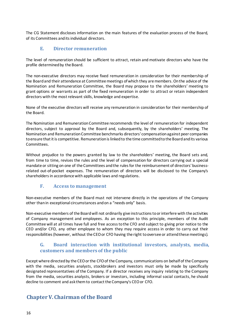The CG Statement discloses information on the main features of the evaluation process of the Board, of its Committees anditsindividual directors.

#### **E. Director remuneration**

<span id="page-15-0"></span>The level of remuneration should be sufficient to attract, retain and motivate directors who have the profile determined by the Board.

The non-executive directors may receive fixed remuneration in consideration for their membership of the Boardand their attendance at Committeemeetings ofwhich they aremembers. Onthe advice of the Nomination and Remuneration Committee, the Board may propose to the shareholders' meeting to grant options or warrants as part of the fixed remuneration in order to attract or retain independent directors with the mostrelevant skills, knowledge and expertise.

None of the executive directors will receive any remuneration in consideration for their membership of the Board.

The Nomination and Remuneration Committee recommends the level of remuneration for independent directors, subject to approval by the Board and, subsequently, by the shareholders' meeting. The Nomination and RemunerationCommittee benchmarks directors' compensationagainst peer companies toensure that itis competitive. Remunerationislinkedto the time committedtothe Boardandits various Committees.

Without prejudice to the powers granted by law to the shareholders' meeting, the Board sets and, from time to time, revises the rules and the level of compensation for directors carrying out a special mandate or sitting on one of the Committees and the rulesfor the reimbursement of directors' businessrelated out-of-pocket expenses. The remuneration of directors will be disclosed to the Company's shareholders in accordance with applicable laws and regulations.

#### **F. Access to management**

<span id="page-15-1"></span>Non-executive members of the Board must not intervene directly in the operations of the Company other thanin exceptional circumstances andon a "needs only" basis.

Non-executive members of the Board will not ordinarily give instructions to or interfere with the activities of Company management and employees. As an exception to this principle, members of the Audit Committee will at all times have full and free accesstothe CFO and subject to giving prior notice to the CEO and/or CFO, any other employee to whom they may require access in order to carry out their responsibilities (however, without the CEO or CFO having the right to oversee or attend these meetings).

#### <span id="page-15-2"></span>**G. Board interaction with institutional investors, analysts, media, customers and members of the public**

Except where directed by the CEO or the CFO of the Company, communications on behalf of the Company with the media, securities analysts, stockbrokers and investors must only be made by specifically designated representatives of the Company. If a director receives any inquiry relating to the Company from the media, securities analysts, brokers or investors, including informal social contacts, he should decline to comment and ask them to contact the Company's CEO or CFO.

## <span id="page-15-3"></span>**ChapterV. Chairman of the Board**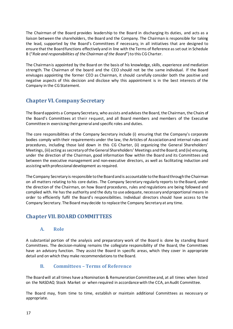The Chairman of the Board provides leadership to the Board in discharging its duties, and acts as a liaison between the shareholders, the Board and the Company. The Chairman is responsible for taking the lead, supported by the Board's Committees if necessary, in all initiatives that are designed to ensure that the Board functions effectively and in line with the Terms of Reference as set out in Schedule B ("*Role and responsibilities of the Chairman of the Board*")to this CG Charter.

The Chairmanis appointed by the Board on the basis of his knowledge, skills, experience and mediation strength. The Chairman of the board and the CEO should not be the same individual. If the Board envisages appointing the former CEO as Chairman, it should carefully consider both the positive and negative aspects of this decision and disclose why this appointment is in the best interests of the Company in the CG Statement.

## <span id="page-16-0"></span>**ChapterVI. Company Secretary**

The Board appoints a Company Secretary, who assists andadvisesthe Board, the Chairman, the Chairs of the Board's Committees at their request, and all Board members and members of the Executive Committee in exercising their general and specific roles and duties.

The core responsibilities of the Company Secretary include (i) ensuring that the Company's corporate bodies comply with their requirements under the law, the Articles of Association and internal rules and procedures, including those laid down in this CG Charter, (ii) organizing the General Shareholders' Meetings, (iii) acting as secretary oftheGeneral Shareholders' Meetings and the Board; and(iv) ensuring, under the direction of the Chairman, good information flow within the Board and its Committees and between the executive management and non-executive directors, as well as facilitating induction and assisting with professional development as required.

The Company Secretary is responsible tothe Boardandis accountable tothe Boardthroughthe Chairman on all matters relating to his core duties. The Company Secretary regularly reports to the Board, under the direction of the Chairman, on how Board procedures, rules and regulations are being followed and complied with. He hasthe authority and the duty to use adequate, necessaryand proportional means in order to efficiently fulfil the Board's responsibilities. Individual directors should have access to the Company Secretary. The Board may decide to replace the Company Secretaryat any time.

## <span id="page-16-1"></span>**ChapterVII. BOARD COMMITTEES**

#### **A. Role**

<span id="page-16-2"></span>A substantial portion of the analysis and preparatory work of the Board is done by standing Board Committees. The decision-making remains the collegiate responsibility of the Board, the Committees have an advisory function. They assist the Board in specific areas, which they cover in appropriate detail and on which they make recommendations to the Board.

#### **B. Committees – Terms of Reference**

<span id="page-16-3"></span>The Boardwill at all times have a Nomination & RemunerationCommittee and, at all times when listed on the NASDAQ Stock Market or when required in accordance with the CCA, an Audit Committee.

The Board may, from time to time, establish or maintain additional Committees as necessary or appropriate.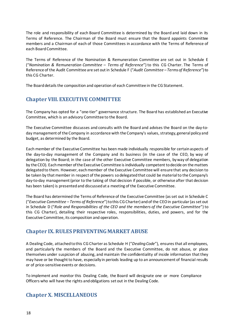The role and responsibility of each Board Committee is determined by the Board and laid down in its Terms of Reference. The Chairman of the Board must ensure that the Board appoints Committee members and a Chairman of each of those Committees in accordance with the Terms of Reference of each BoardCommittee.

The Terms of Reference of the Nomination & Remuneration Committee are set out in Schedule E ("*Nomination & Remuneration Committee – Terms of Reference*") to this CG Charter. The Terms of Reference of the Audit Committee are set out in Schedule F ("*Audit Committee – Termsof Reference*") to this CG Charter.

The Board details the composition and operation of each Committee in the CG Statement.

## <span id="page-17-0"></span>**ChapterVIII. EXECUTIVE COMMITTEE**

The Company has opted for a "one-tier" governance structure. The Board has established an Executive Committee, which is an advisory Committee to the Board.

The Executive Committee discusses and consults with the Board and advises the Board on the day-today management of the Company in accordance with the Company's values, strategy, general policy and budget, as determined by the Board.

Each member of the Executive Committee has been made individually responsible for certain aspects of the day-to-day management of the Company and its business (in the case of the CEO, by way of delegation by the Board; in the case of the other Executive Committee members, by way of delegation by the CEO). Each member of the Executive Committee is individually competent to decide on the matters delegated to them. However, each member of the Executive Committee will ensure that any decision to be taken by that member in respect of the powers sodelegatedthat could be materialto the Company's day-to-day management(prior to the taking of that decision if possible, or otherwise after that decision has been taken) is presentedand discussedat a meeting of the Executive Committee.

The Board has determined the Terms of Reference of the Executive Committee (as set out in Schedule C ("*Executive Committee – Terms of Reference*")tothis CGCharter) andof the CEOin particular (asset out in Schedule D ("*Role and Responsibilities of the CEO and the members of the Executive Committee*") to this CG Charter), detailing their respective roles, responsibilities, duties, and powers, and for the Executive Committee, its composition and operation.

#### <span id="page-17-1"></span>**Chapter IX. RULES PREVENTINGMARKETABUSE**

A Dealing Code, attached to this CG Charter as Schedule H ("*Dealing Code*"), ensures that all employees, and particularly the members of the Board and the Executive Committee, do not abuse, or place themselves under suspicion of abusing, and maintain the confidentiality of inside information that they may have or be thought to have, especially in periods leading up to an announcement of financial results or of price-sensitive events or decisions.

To implement and monitor this Dealing Code, the Board will designate one or more Compliance Officers who will have the rights andobligations set out in the Dealing Code.

## <span id="page-17-2"></span>**ChapterX. MISCELLANEOUS**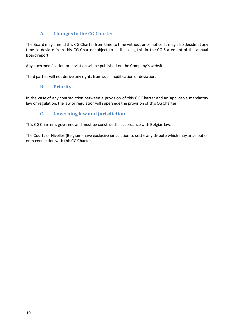## **A. Changes to the CG Charter**

<span id="page-18-0"></span>The Board may amend this CG Charter from time to time without prior notice. It may also decide at any time to deviate from this CG Charter subject to it disclosing this in the CG Statement of the annual Board report.

Any suchmodification or deviation will be published on the Company's website.

<span id="page-18-1"></span>Third parties will not derive any rights from such modification or deviation.

#### **B. Priority**

In the case of any contradiction between a provision of this CG Charter and an applicable mandatory law or regulation, the law or regulationwill supersede the provision of this CG Charter.

#### **C. Governing law and jurisdiction**

<span id="page-18-2"></span>This CG Charteris governedand must be construed in accordance with Belgianlaw.

The Courts of Nivelles (Belgium) have exclusive jurisdiction to settle any dispute which may arise out of or in connection with this CG Charter.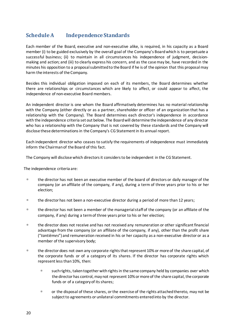## <span id="page-19-0"></span>**Schedule A Independence Standards**

Each member of the Board, executive and non-executive alike, is required, in his capacity as a Board member (i) to be guided exclusively by the overall goal of the Company's Boardwhich is to perpetuate a successful business; (ii) to maintain in all circumstances his independence of judgment, decisionmaking and action; and (iii) to clearly express his concern, and as the casemay be, have recorded in the minutes his opposition to a proposalsubmittedto the Board if he is of the opinion that this proposal may harm the interests of the Company.

Besides this individual obligation imposed on each of its members, the Board determines whether there are relationships or circumstances which are likely to affect, or could appear to affect, the independence of non-executive Board members.

An independent director is one whom the Board affirmatively determines has no material relationship with the Company (either directly or as a partner, shareholder or officer of an organization that has a relationship with the Company). The Board determines each director's independence in accordance with the independence criteria set out below. The Boardwill determine the independence of any director who has a relationship with the Company that is not covered by these standards and the Company will disclose these determinations in the Company's CG Statement in its annual report.

Each independent director who ceases to satisfy the requirements of independence must immediately inform the Chairmanof the Board of this fact.

The Company will disclose which directors it considersto be independent in the CG Statement.

The independence criteria are:

- <sup>n</sup> the director has not been an executive member of the board of directors or daily manager of the company (or an affiliate of the company, if any), during a term of three years prior to his or her election;
- $\Box$  the director has not been a non-executive director during a period of more than 12 years;
- the director has not been a member of the managerial staff of the company (or an affiliate of the company, if any) during a term of three years prior to his or her election;
- the director does not receive and has not received any remuneration or other significant financial advantage from the company (or an affiliate of the company, if any), other than the profit share ("*tantièmes*") and remuneration received in his or her capacity as a non-executive director or as a member of the supervisory body;
- <sup>n</sup> the director does not own any corporate rights that represent 10% or more of the share capital, of the corporate funds or of a category of its shares. If the director has corporate rights which represent less than 10%, then:
	- <sup>n</sup> such rights, taken together with rights in the same company held by companies over which the director has control, may not represent 10% or more of the share capital, the corporate funds or of a category of its shares;
	- or the disposal of these shares, or the exercise of the rights attached thereto, may not be subject to agreements or unilateral commitments entered into by the director.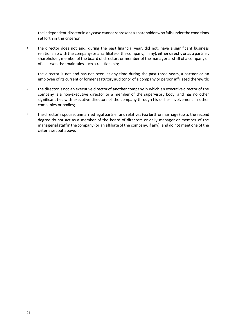- the independent director in any case cannot represent a shareholder who falls under the conditions set forth in this criterion;
- <sup>n</sup> the director does not and, during the past financial year, did not, have a significant business relationship with the company (or an affiliate of the company, if any), either directly or as a partner, shareholder, member of the board of directors or member of the managerial staff of a company or of a person that maintains such a relationship;
- <sup>n</sup> the director is not and has not been at any time during the past three years, a partner or an employee of its current or former statutory auditor or of a company or person affiliated therewith;
- <sup>n</sup> the director is not an executive director of another company in which an executive director of the company is a non-executive director or a member of the supervisory body, and has no other significant ties with executive directors of the company through his or her involvement in other companies or bodies;
- the director's spouse, unmarried legal partner and relatives (via birth or marriage) up to the second degree do not act as a member of the board of directors or daily manager or member of the managerial staff in the company (or an affiliate of the company, if any), and do not meet one of the criteria set out above.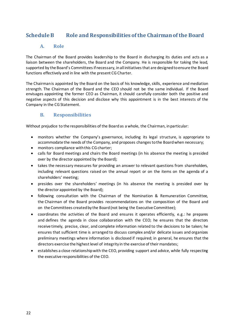## <span id="page-21-0"></span>**Schedule B Role and Responsibilities of the Chairman ofthe Board**

#### **A. Role**

<span id="page-21-1"></span>The Chairman of the Board provides leadership to the Board in discharging its duties and acts as a liaison between the shareholders, the Board and the Company. He is responsible for taking the lead, supported by the Board's Committees if necessary, in all initiatives that are designed to ensure the Board functions effectively and in line with the present CG Charter.

The Chairman is appointed by the Board on the basis of his knowledge, skills, experience and mediation strength. The Chairman of the Board and the CEO should not be the same individual. If the Board envisages appointing the former CEO as Chairman, it should carefully consider both the positive and negative aspects of this decision and disclose why this appointment is in the best interests of the Company in the CG Statement.

#### **B. Responsibilities**

<span id="page-21-2"></span>Without prejudice to the responsibilities of the Boardas a whole, the Chairman, in particular:

- monitors whether the Company's governance, including its legal structure, is appropriate to accommodate the needs of the Company, and proposes changestothe Boardwhen necessary;
- monitors compliance with this CG charter;
- calls for Board meetings and chairs the Board meetings (in his absence the meeting is presided over by the director appointed by the Board);
- takes the necessary measures for providing an answer to relevant questions from shareholders, including relevant questions raised on the annual report or on the items on the agenda of a shareholders' meeting;
- presides over the shareholders' meetings (in his absence the meeting is presided over by the director appointed by the Board);
- following consultation with the Chairman of the Nomination & Remuneration Committee, the Chairman of the Board provides recommendations on the composition of the Board and on the Committees created by the Board (not being the Executive Committee);
- coordinates the activities of the Board and ensures it operates efficiently, e.g.: he prepares and defines the agenda in close collaboration with the CEO; he ensures that the directors receive timely, precise, clear, and complete information related to the decisions to be taken; he ensures that sufficient time is arranged to discuss complex and/or delicate issues and organizes preliminary meetings where information is disclosed if required; in general, he ensures that the directors exercise the highest level of integrity in the exercise of their mandates;
- establishes a close relationshipwith the CEO, providing support and advice, while fully respecting the executive responsibilities of the CEO.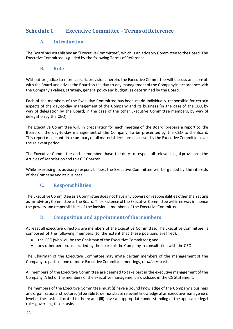## <span id="page-22-0"></span>**Schedule C Executive Committee – Terms of Reference**

#### **A. Introduction**

<span id="page-22-1"></span>The Board has established an "Executive Committee", which is an advisory Committee to the Board. The Executive Committee is guided by the following Terms of Reference.

#### **B. Role**

<span id="page-22-2"></span>Without prejudice to more specific provisions herein, the Executive Committee will discuss and consult with the Board and advise the Board on the day-to-day management of the Company in accordance with the Company's values, strategy, general policy and budget, as determined by the Board.

Each of the members of the Executive Committee has been made individually responsible for certain aspects of the day-to-day management of the Company and its business (in the case of the CEO, by way of delegation by the Board; in the case of the other Executive Committee members, by way of delegation by the CEO).

The Executive Committee will, in preparation for each meeting of the Board, prepare a report to the Board on the day-to-day management of the Company, to be presented by the CEO to the Board. This report must contain a summaryof all material decisions discussedby the Executive Committee over the relevant period

The Executive Committee and its members have the duty to respect all relevant legal provisions, the Articles of Associationand this CGCharter.

While exercising its advisory responsibilities, the Executive Committee will be guided by the interests of the Company and its business.

#### **C. Responsibilities**

<span id="page-22-3"></span>The Executive Committee as a Committee does not have any powers or responsibilities other thanacting as anadvisoryCommittee tothe Board. The existence of the Executive Committee will in noway influence the powers and responsibilities of the individual members of the Executive Committee.

#### **D. Composition and appointmentof the members**

<span id="page-22-4"></span>At least all executive directors are members of the Executive Committee. The Executive Committee is composed of the following members (to the extent that these positions are filled):

- the CEO(who will be the Chairmanof the Executive Committee); and
- any other person, as decided by the board of the Company in consultation with the CEO.

The Chairman of the Executive Committee may invite certain members of the management of the Company to parts of one or more Executive Committee meetings, on*ad hoc* basis.

All members of the Executive Committee are deemed to take part in the executive management of the Company. A list of the members of the executive managementis disclosedin the CG Statement.

The members of the Executive Committee must (i) have a sound knowledge of the Company's business and organizational structure; (ii) be able todemonstrate relevant knowledge atan executive management level of the tasks allocated to them; and (iii) have an appropriate understanding of the applicable legal rules governing those tasks.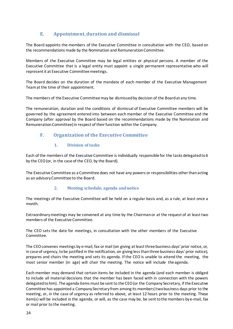## **E. Appointment,duration and dismissal**

<span id="page-23-0"></span>The Board appoints the members of the Executive Committee in consultation with the CEO, based on the recommendations made by the Nomination and RemunerationCommittee.

Members of the Executive Committee may be legal entities or physical persons. A member of the Executive Committee that is a legal entity must appoint a single permanent representative who will represent it at Executive Committee meetings.

The Board decides on the duration of the mandate of each member of the Executive Management Team at the time of their appointment.

The members of the Executive Committee may be dismissedby decision of the Boardat any time.

The remuneration, duration and the conditions of dismissal of Executive Committee members will be governed by the agreement entered into between each member of the Executive Committee and the Company (after approval by the Board based on the recommendations made by the Nomination and Remuneration Committee) in respect of their function within the Company.

#### <span id="page-23-1"></span>**F. Organization of the Executive Committee**

#### **1. Division of tasks**

<span id="page-23-2"></span>Each of the members of the Executive Committee is individually responsible for the tasks delegatedtoit by the CEO(or, in the case of the CEO, by the Board).

The Executive Committee as a Committee does not have any powers or responsibilities other than acting as an advisoryCommittee to the Board.

#### **2. Meeting schedule, agenda andnotice**

<span id="page-23-3"></span>The meetings of the Executive Committee will be held on a regular basis and, as a rule, at least once a month.

Extraordinarymeetings may be convened at any time by the Chairmanor at the request of at least two members of the Executive Committee.

The CEO sets the date for meetings, in consultation with the other members of the Executive Committee.

The CEOconvenes meetings by e-mail, fax or mail (on giving atleast three business days' prior notice, or, in case of urgency, tobe justified in the notification, on giving lessthanthree business days' prior notice), prepares and chairs the meeting and sets its agenda. If the CEO is unable to attend the meeting, the most senior member (in age) will chair the meeting. The notice will include the agenda.

Each member may demand that certain items be included in the agenda (and each member is obliged to include all material decisions that the member has been faced with in connection with the powers delegated tohim). The agenda items must be sent to the CEO (or the Company Secretary, if the Executive Committee has appointed a Company Secretary from among its members) two business days prior to the meeting, or, in the case of urgency as referred to above, at least 12 hours prior to the meeting. These item(s) will be included in the agenda, or will, as the case may be, be sent to themembers bye-mail, fax or mail prior to the meeting.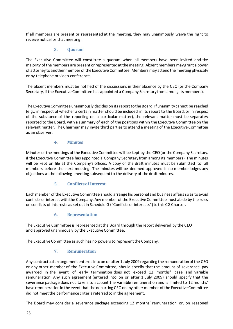If all members are present or represented at the meeting, they may unanimously waive the right to receive notice for that meeting.

#### **3. Quorum**

<span id="page-24-0"></span>The Executive Committee will constitute a quorum when all members have been invited and the majority of the members are present or representedat the meeting. Absent members maygrant a power of attorney to another member of the Executive Committee. Members may attend the meeting physically or by telephone or video conference.

The absent members must be notified of the discussions in their absence by the CEO (or the Company Secretary, if the Executive Committee has appointed a Company Secretary from among its members).

The Executive Committee unanimously decides on its report to the Board. If unanimity cannot be reached (e.g., in respect of whether a certain matter should be included in its report to the Board, or in respect of the substance of the reporting on a particular matter), the relevant matter must be separately reported to the Board, with a summary of each of the positions within the Executive Committee on the relevant matter. The Chairman may invite third parties to attend a meeting of the Executive Committee as an observer.

#### **4. Minutes**

<span id="page-24-1"></span>Minutes of the meetings of the Executive Committee will be kept by the CEO (or the Company Secretary, if the Executive Committee has appointed a Company Secretary from among its members). The minutes will be kept on file at the Company's offices. A copy of the draft minutes must be submitted to all members before the next meeting. The minutes will be deemed approved if no member lodges any objections at the following meeting subsequent to the delivery of the draft minutes.

#### **5. Conflicts of Interest**

<span id="page-24-2"></span>Eachmember of the Executive Committee should arrange his personal and business affairsso astoavoid conflicts of interest with the Company. Any member of the Executive Committee must abide by the rules on conflicts of interests as set out in Schedule G ("Conflicts of interests") to this CG Charter.

#### **6. Representation**

<span id="page-24-3"></span>The Executive Committee is representedatthe Board through the report delivered by the CEO and approved unanimously by the Executive Committee.

<span id="page-24-4"></span>The Executive Committee as such has no powers to represent the Company.

#### **7. Remuneration**

Any contractual arrangement enteredintoon or after 1 July 2009 regarding the remuneration of the CEO or any other member of the Executive Committee, should specify that the amount of severance pay awarded in the event of early termination does not exceed 12 months' base and variable remuneration. Any such agreement (entered into on or after 1 July 2009) should specify that the severance package does not take into account the variable remuneration and is limited to 12 months' base remuneration in the event that the departing CEO or any other member of the Executive Committee did not meetthe performance criteria referred to in the agreement.

The Board may consider a severance package exceeding 12 months' remuneration, or, on reasoned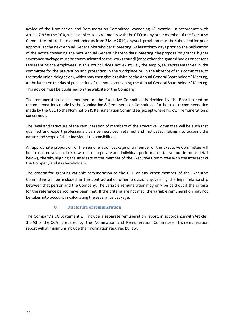advice of the Nomination and Remuneration Committee, exceeding 18 months. In accordance with Article 7:92 of the CCA, which applies to agreements with the CEO or any other member of the Executive Committee entered into or extended as from 3 May 2010, any such provision must be submitted for prior approval at the next Annual General Shareholders' Meeting. Atleast thirty days prior to the publication of the notice convening the next Annual General Shareholders' Meeting, the proposal to grant a higher severance package must be communicated to the works council (or to other designated bodies or persons representing the employees, if this council does not exist; *i.e.*, the employee representatives in the committee for the prevention and protection in the workplace or, in the absence of this committee, to the trade union delegation), which may thengive its advice to the Annual General Shareholders' Meeting, at the latest onthe day of publication of the notice convening the Annual General Shareholders' Meeting. This advice must be published on the website of the Company.

The remuneration of the members of the Executive Committee is decided by the Board based on recommendations made by the Nomination & Remuneration Committee, further to a recommendation made by the CEO to the Nomination & Remuneration Committee (except where his own remuneration is concerned).

The level and structure of the remuneration of members of the Executive Committee will be such that qualified and expert professionals can be recruited, retained and motivated, taking into account the nature and scope of their individual responsibilities.

An appropriate proportion of the remuneration package of a member of the Executive Committee will be structured so as to link rewards to corporate and individual performance (as set out in more detail below), thereby aligning the interests of the member of the Executive Committee with the interests of the Company and its shareholders.

The criteria for granting variable remuneration to the CEO or any other member of the Executive Committee will be included in the contractual or other provisions governing the legal relationship between that person and the Company. The variable remuneration may only be paid out if the criteria for the reference period have been met. If the criteria are not met, the variable remuneration may not be taken into account in calculating the severance package.

#### **8. Disclosure of remuneration**

<span id="page-25-0"></span>The Company's CG Statement will include a separate remuneration report, in accordance with Article 3:6 §3 of the CCA, prepared by the Nomination and Remuneration Committee. This remuneration report will at minimum include the information required by law.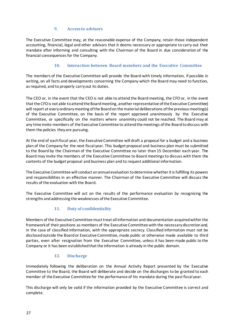#### **9. Access to advisors**

<span id="page-26-0"></span>The Executive Committee may, at the reasonable expense of the Company, retain those independent accounting, financial, legal and other advisors that it deems necessary or appropriate to carry out their mandate after informing and consulting with the Chairman of the Board in due consideration of the financial consequences for the Company.

#### **10. Interaction between Board members and the Executive Committee**

<span id="page-26-1"></span>The members of the Executive Committee will provide the Board with timely information, if possible in writing, on all facts and developments concerning the Company which the Board may need to function, as required, and to properly carryout its duties.

The CEO or, in the event that the CEO is not able to attend the Board meeting, the CFO or, in the event that the CFO is not able to attend the Board meeting, another representative of the Executive Committee) will report at every ordinary meeting of the Board on the material deliberations of the previous meeting(s) of the Executive Committee, on the basis of the report approved unanimously by the Executive Committee, or specifically on the matters where unanimity could not be reached. The Board may at any time invite members of the Executive Committee to attendthemeetings of the Boardtodiscuss with them the policies theyare pursuing.

At the end of each fiscal year, the Executive Committee will draft a proposal for a budget and a business plan of the Company for the next fiscal year. This budget proposal and business plan must be submitted to the Board by the Chairman of the Executive Committee no later than 15 December each year. The Board may invite the members of the Executive Committee to Board meetings to discuss with them the contents of the budget proposal and business plan and to request additional information.

The Executive Committee will conduct an annual evaluation to determine whether it is fulfilling its powers and responsibilities in an effective manner. The Chairman of the Executive Committee will discuss the results of the evaluation with the Board.

The Executive Committee will act on the results of the performance evaluation by recognizing the strengths andaddressing the weaknesses ofthe Executive Committee.

#### **11. Duty of confidentiality**

<span id="page-26-2"></span>Members of the Executive Committeemusttreat all information and documentation acquired within the frameworkof their positions as members of the Executive Committee with the necessarydiscretionand, in the case of classified information, with the appropriate secrecy. Classified information must not be disclosedoutside the Board or Executive Committee, made public or otherwise made available to third parties, even after resignation from the Executive Committee, unless it has been made public to the Company or it has been established that the information is already in the public domain.

#### **12. Discharge**

<span id="page-26-3"></span>Immediately following the deliberation on the Annual Activity Report presented by the Executive Committee to the Board, the Board will deliberate and decide on the discharges to be granted to each member of the Executive Committee for the performance of his mandate during the past fiscal year.

This discharge will only be valid if the information provided by the Executive Committee is correct and complete.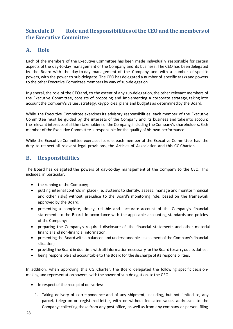## <span id="page-27-0"></span>**Schedule D Role and Responsibilities of the CEO and the members of the Executive Committee**

## <span id="page-27-1"></span>**A. Role**

Each of the members of the Executive Committee has been made individually responsible for certain aspects of the day-to-day management of the Company and its business. The CEO has been delegated by the Board with the day-to-day management of the Company and with a number of specific powers, with the power to sub-delegate. The CEO has delegated a number of specific tasks and powers to the other Executive Committee members by way of sub-delegation.

In general, the role of the CEOand, to the extent of any sub-delegation, the other relevant members of the Executive Committee, consists of proposing and implementing a corporate strategy, taking into account the Company's values, strategy, key policies, plans and budgets as determined by the Board.

While the Executive Committee exercises its advisory responsibilities, each member of the Executive Committee must be guided by the interests of the Company and its business and take into account the relevant interests of all the stakeholders of the Company, including the Company's shareholders. Each member of the Executive Committee is responsible for the quality of his own performance.

While the Executive Committee exercises its role, each member of the Executive Committee has the duty to respect all relevant legal provisions, the Articles of Association and this CG Charter.

## <span id="page-27-2"></span>**B. Responsibilities**

The Board has delegated the powers of day-to-day management of the Company to the CEO. This includes, in particular:

- the running of the Company;
- putting internal controls in place (i.e. systems to identify, assess, manage and monitor financial and other risks) without prejudice to the Board's monitoring role, based on the framework approved by the Board;
- presenting a complete, timely, reliable and accurate account of the Company's financial statements to the Board, in accordance with the applicable accounting standards and policies of the Company;
- preparing the Company's required disclosure of the financial statements and other material financial and non-financial information;
- presenting the Boardwith a balanced and understandable assessment ofthe Company'sfinancial situation;
- providing the Boardin due time withall informationnecessary for the Boardtocarryoutits duties;
- being responsible and accountable to the Boardfor the discharge of its responsibilities.

In addition, when approving this CG Charter, the Board delegated the following specific decisionmaking and representation powers, with the power of sub-delegation, to the CEO:

- In respect of the receipt of deliveries:
	- 1. Taking delivery of correspondence and of any shipment, including, but not limited to, any parcel, telegram or registered letter, with or without indicated value, addressed to the Company; collecting these from any post office, as well as from any company or person; filing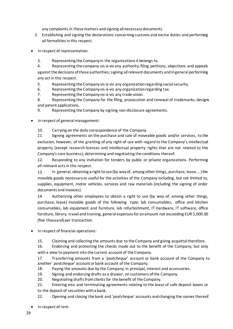any complaints in these matters and signing all necessary documents.

- 2. Establishing and signing the declarations concerning customs and excise duties and performing all formalities in this respect.
- In respect of representation:
	- 3. Representing the Company in the organizations it belongs to.

4. Representing the company vis-à-vis any authority; filing petitions, objections and appeals against the decisions of these authorities; signing all relevant documents and in general performing any act in this respect.

- 5. Representing the Company vis-à-vis any organizationregarding socialsecurity.
- 6. Representing the Company vis-à-vis any organizationregarding tax.
- 7. Representing the Company vis-à-vis any trade union.

8. Representing the Company for the filing, prosecution and renewal of trademarks, designs and patent applications.

9. Representing the Company by signing non-disclosure agreements.

In respect of general management:

10. Carrying on the daily correspondence of the Company.

11. Signing agreements on the purchase and sale of moveable goods and/or services, to the exclusion, however, of the granting of any right of use with regard to the Company's intellectual property (except research licenses and intellectual property rights that are not related to the Company's core business); determining and negotiating the conditions thereof.

12. Responding to any invitation for tenders by public or private organizations. Performing all relevant acts in this respect.

13. In general, obtaining a right to use (by way of, among other things, purchase, lease, …) the movable goods necessary or useful for the activities of the Company including, but not limited to, supplies, equipment, motor vehicles, services and raw materials (including the signing of order documents and invoices).

14. Authorizing other employees to obtain a right to use (by way of, among other things, purchase, lease) movable goods of the following type: lab consumables, office and kitchen consumables, lab equipment and furniture, lab refurbishment, IT hardware, IT software, office furniture, library, travel and training, general expenses for an amount not exceeding EUR 5,000.00 (five thousand) per transaction.

• In respect of financial operations:

15. Claiming and collecting the amounts due to the Company and giving acquittal therefore.

16. Endorsing and protesting the checks made out to the benefit of the Company, but only

with a view to payment into the current account of the Company.

17. Transferring amounts from a '*postcheque*' account or bank account of the Company to another '*postcheque*' account or bank account of the Company.

- 18. Paying the amounts due by the Company, in principal, interest and accessories.
- 19. Signing and endorsing drafts as a drawer, on customers ofthe Company.
- 20. Negotiating drafts from clients for the benefit of the Company.

21. Entering into and terminating agreements relating to the lease of safe deposit boxes or to the deposit of securities with a bank.

- 22. Opening and closing the bank and '*postchequ*e' accounts andchanging the names thereof.
- In respect of rent: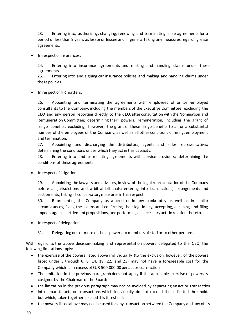23. Entering into, authorizing, changing, renewing and terminating lease agreements for a period of less than 9 years as lessor or lessee and in general taking any measures regarding lease agreements.

• In respect of insurances:

24. Entering into insurance agreements and making and handling claims under these agreements.

25. Entering into and signing car insurance policies and making and handling claims under these policies.

• In respect of HR matters:

26. Appointing and terminating the agreements with employees of or self-employed consultants to the Company, including the members of the Executive Committee, excluding the CEO and any person reporting directly to the CEO, after consultation with the Nomination and Remuneration Committee; determining their powers, remuneration, including the grant of fringe benefits, excluding, however, the grant of these fringe benefits to all or a substantial number of the employees of the Company, as well as all other conditions of hiring, employment and termination.

27. Appointing and discharging the distributors, agents and sales representatives; determining the conditions under which they act in this capacity.

28. Entering into and terminating agreements with service providers; determining the conditions of these agreements.

• In respect of litigation:

29. Appointing the lawyers and advisors, in view of the legal representationof the Company before all jurisdictions and arbitral tribunals; entering into transactions, arrangements and settlements; taking all conservatory measures in this respect.

30. Representing the Company as a creditor in any bankruptcy as well as in similar circumstances; fixing the claims and confirming their legitimacy; accepting, declining and filing appeals against settlement propositions, and performing all necessary acts in relation thereto.

- In respect of delegation:
	- 31. Delegating one or more of these powers to members of staff or to other persons.

With regard to the above decision-making and representation powers delegated to the CEO, the following limitations apply:

- the exercise of the powers listed above individually (to the exclusion, however, of the powers listed under 3 through 6, 8, 14, 19, 22, and 23) may not have a foreseeable cost for the Company which is in excess of EUR 500,000.00 per act or transaction;
- The limitation in the previous paragraph does not apply if the applicable exercise of powers is cosigned by the Chairman of the Board;
- the limitation in the previous paragraph may not be avoided by separating an act or transaction
- into separate acts or transactions which individually do not exceed the indicated threshold, but which, taken together, exceed this threshold;
- the powers listed above may not be used for any transaction between the Company and any of its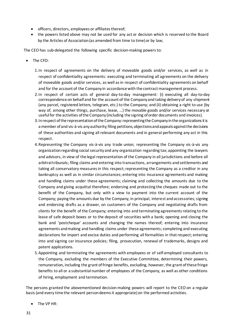- officers, directors, employees or affiliates thereof;
- the powers listed above may not be used for any act or decision which is reserved to the Board by the Articles of Association (as amended from time to time) or by law;

The CEO has sub-delegated the following specific decision-making powers to:

- The CFO:
	- 1.In respect of agreements on the delivery of moveable goods and/or services, as well as in respect of confidentiality agreements: executing and terminating all agreements on the delivery of moveable goods and/or services, as well as in respect of confidentiality agreements on behalf and for the account of the Company in accordance with the contract management process.
	- 2.In respect of certain acts of general day-to-day management: (i) executing all day-to-day correspondence on behalf and for the account of the Company and taking delivery of any shipment (any parcel, registered letters, telegram, etc.) to the Company; and (ii) obtaining a right to use (by way of, among other things, purchase, lease, …) the movable goods and/or services necessary or useful for the activities of the Company (including the signing of order documents and invoices).
	- 3.In respect of the representation of the Company: representing the Company in the organizations it is a member of and vis-à-vis any authority; filing petitions, objections and appeals against the decisions of these authorities and signing all relevant documents and in general performing any act in this respect.
	- 4.Representing the Company vis-à-vis any trade union; representing the Company vis-à-vis any organization regarding social security and any organization regarding tax; appointing the lawyers and advisors, in view of the legal representation of the Company in all jurisdictions and before all arbitral tribunals; filing claims and entering into transactions, arrangements and settlements and taking all conservatory measures in this respect; representing the Company as a creditor in any bankruptcy as well as in similar circumstances; entering into insurance agreements and making and handling claims under these agreements; claiming and collecting the amounts due to the Company and giving acquittal therefore; endorsing and protesting the cheques made out to the benefit of the Company, but only with a view to payment into the current account of the Company; paying the amounts due by the Company, in principal, interest and accessories; signing and endorsing drafts as a drawer, on customers of the Company and negotiating drafts from clients for the benefit of the Company; entering into and terminating agreements relating to the lease of safe deposit boxes or to the deposit of securities with a bank; opening and closing the bank and 'postcheque' accounts and changing the names thereof; entering into insurance agreements and making and handling claims under these agreements; completing and executing declarations for import and excise duties and performing all formalities in that respect; entering into and signing car insurance policies; filing, prosecution, renewal of trademarks, designs and patent applications.
	- 5.Appointing and terminating the agreements with employees or of self-employed consultants to the Company, excluding the members of the Executive Committee, determining their powers, remuneration, including the grant of fringe benefits, excluding, however, the grant of these fringe benefits to all or a substantial number of employees of the Company, as well as other conditions of hiring, employment and termination.

The persons granted the abovementioned decision-making powers will report to the CEO on a regular basis (and every time the relevant person deems it appropriate) on the performed activities.

• The VP HR: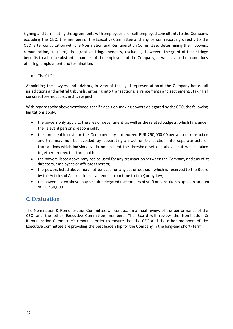Signing and terminating the agreements with employees of or self-employed consultants to the Company, excluding the CEO, the members of the Executive Committee and any person reporting directly to the CEO, after consultation with the Nomination and Remuneration Committee; determining their powers, remuneration, including the grant of fringe benefits, excluding, however, the grant of these fringe benefits to all or a substantial number of the employees of the Company, as well as all other conditions of hiring, employment and termination.

• The CLO:

Appointing the lawyers and advisors, in view of the legal representation of the Company before all jurisdictions and arbitral tribunals; entering into transactions, arrangements and settlements; taking all conservatory measures in this respect.

With regard to the abovementioned specific decision-making powers delegated by the CEO, the following limitations apply:

- the powers only apply to the area or department, as well as the related budgets, which falls under the relevant person's responsibility;
- the foreseeable cost for the Company may not exceed EUR 250,000.00 per act or transaction and this may not be avoided by separating an act or transaction into separate acts or transactions which individually do not exceed the threshold set out above, but which, taken together, exceed this threshold;
- the powers listed above may not be used for any transaction between the Company and any of its directors, employees or affiliates thereof;
- the powers listed above may not be used for any act or decision which is reserved to the Board by the Articles of Association (as amended from time to time) or by law;
- the powers listed above may be sub-delegated to members of staff or consultants up to an amount of EUR 50,000.

## <span id="page-31-0"></span>**C. Evaluation**

The Nomination & Remuneration Committee will conduct an annual review of the performance of the CEO and the other Executive Committee members. The Board will review the Nomination & Remuneration Committee's report in order to ensure that the CEO and the other members of the Executive Committee are providing the best leadership for the Company in the long-and short- term.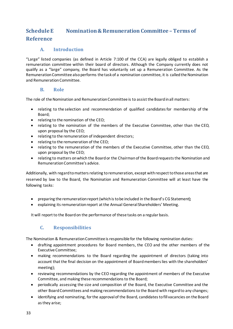# <span id="page-32-1"></span><span id="page-32-0"></span>**Schedule E Nomination & Remuneration Committee – Terms of Reference**

#### **A. Introduction**

<span id="page-32-2"></span>"Large" listed companies (as defined in Article 7:100 of the CCA) are legally obliged to establish a remuneration committee within their board of directors. Although the Company currently does not qualify as a "large" company, the Board has voluntarily set up a Remuneration Committee. As the Remuneration Committee also performs the task of a nomination committee, it is called the Nomination and Remuneration Committee.

#### **B. Role**

<span id="page-32-3"></span>The role of the Nomination and Remuneration Committee is to assist the Board in all matters:

- relating to the selection and recommendation of qualified candidates for membership of the Board;
- relating to the nomination of the CEO;
- relating to the nomination of the members of the Executive Committee, other than the CEO, upon proposal by the CEO;
- relating to the remuneration of independent directors;
- relating to the remuneration of the CEO;
- relating to the remuneration of the members of the Executive Committee, other than the CEO, upon proposal by the CEO;
- relating to matters on which the Board or the Chairman of the Board requests the Nomination and RemunerationCommittee's advice.

Additionally, with regard to matters relating to remuneration, except with respect to those areas that are reserved by law to the Board, the Nomination and Remuneration Committee will at least have the following tasks:

- preparing the remuneration report(whichis tobe included in the Board's CG Statement);
- explaining its remuneration report at the Annual General Shareholders' Meeting.

It will report to the Board on the performance of these tasks on a regular basis.

#### **C. Responsibilities**

<span id="page-32-4"></span>The Nomination & RemunerationCommittee is responsible for the following nomination duties:

- drafting appointment procedures for Board members, the CEO and the other members of the Executive Committee;
- making recommendations to the Board regarding the appointment of directors (taking into account that the final decision on the appointment of Board members lies with the shareholders' meeting);
- reviewing recommendations by the CEO regarding the appointment of members of the Executive Committee, and making these recommendations to the Board;
- periodically assessing the size and composition of the Board, the Executive Committee and the other Board Committees and making recommendations to the Board with regard to any changes;
- identifying and nominating, forthe approvalof the Board, candidatestofill vacancies on the Board as they arise;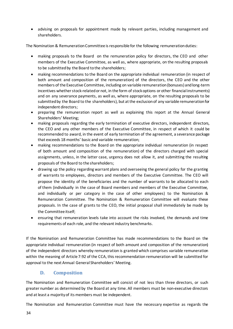• advising on proposals for appointment made by relevant parties, including management and shareholders.

The Nomination & Remuneration Committee is responsible for the following remuneration duties:

- making proposals to the Board on the remuneration policy for directors, the CEO and other members of the Executive Committee, as well as, where appropriate, on the resulting proposals to be submitted by the Board to the shareholders;
- making recommendations to the Board on the appropriate individual remuneration (in respect of both amount and composition of the remuneration) of the directors, the CEO and the other members of the Executive Committee, including on variable remuneration(bonuses) and long-term incentives whether stock-related or not, in the form of stock options or other financial instruments) and on any severance payments, as well as, where appropriate, on the resulting proposals to be submitted by the Board to the shareholders), but at the exclusion of any variable remuneration for independent directors;
- preparing the remuneration report as well as explaining this report at the Annual General Shareholders' Meeting;
- making proposals regarding the early termination of executive directors, independent directors, the CEO and any other members of the Executive Committee, in respect of which it could be recommended to award, in the event of early termination of the agreement, a severance package that exceeds 18 months' basic and variable remuneration;
- making recommendations to the Board on the appropriate individual remuneration (in respect of both amount and composition of the remuneration) of the directors charged with special assignments, unless, in the latter case, urgency does not allow it, and submitting the resulting proposals of the Board to the shareholders;
- drawing up the policy regarding warrant plans and overseeing the general policy for the granting of warrants to employees, directors and members of the Executive Committee. The CEO will propose the identity of the beneficiaries and the number of warrants to be allocated to each of them (individually in the case of Board members and members of the Executive Committee, and individually or per category in the case of other employees) to the Nomination & Remuneration Committee. The Nomination & Remuneration Committee will evaluate these proposals. In the case of grants to the CEO, the initial proposal shall immediately be made by the Committee itself;
- ensuring that remuneration levels take into account the risks involved, the demands and time requirements of each role, and the relevant industry benchmarks.

If the Nomination and Remuneration Committee has made recommendations to the Board on the appropriate individual remuneration (in respect of both amount and composition of the remuneration) of the independent directors whereby remuneration is granted which comprises variable remuneration within the meaning of Article 7:92 of the CCA, this recommendation remuneration will be submitted for approval to the next Annual General Shareholders' Meeting.

#### **D. Composition**

<span id="page-33-0"></span>The Nomination and Remuneration Committee will consist of not less than three directors, or such greater number as determined by the Board at any time. All members must be non-executive directors and at least a majority of its members must be independent.

The Nomination and Remuneration Committee must have the necessary expertise as regards the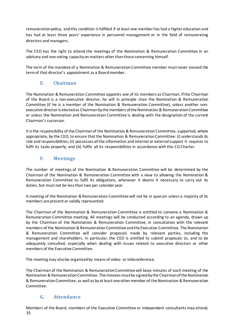remunerationpolicy, andthis condition isfulfilled if at least one member has had a higher education and has had at least three years' experience in personnel management or in the field of remunerating directors and managers.

The CEO has the right to attend the meetings of the Nomination & Remuneration Committee in an advisory and non-voting capacityon matters otherthanthose concerning himself.

The term of the mandate of a Nomination & Remuneration Committee member must never exceed the termof that director's appointment as a Boardmember.

#### **E. Chairman**

<span id="page-34-0"></span>The Nomination & Remuneration Committee appoints one of its members as Chairman. If the Chairman of the Board is a non-executive director, he will in principle chair the Nomination & Remuneration Committee (if he is a member of the Nomination & Remuneration Committee), unless another nonexecutive director is elected as Chairman by the members of the Nomination & Remuneration Committee or unless the Nomination and Remuneration Committee is dealing with the designation of the current Chairman'ssuccessor.

It is the responsibility of the Chairman of the Nomination & Remuneration Committee, supported, where appropriate, by the CEO, to ensure that the Nomination & Remuneration Committee: (i) understands its role and responsibilities; (ii) possesses all the information and internal or external support it requires to fulfil its tasks properly; and (iii) fulfils all its responsibilities in accordance with this CG Charter.

#### **F. Meetings**

<span id="page-34-1"></span>The number of meetings of the Nomination & Remuneration Committee will be determined by the Chairman of the Nomination & Remuneration Committee with a view to allowing the Nomination & Remuneration Committee to fulfil its obligations, whenever it deems it necessary to carry out its duties, but must not be less than two per calendar year.

A meeting of the Nomination & Remuneration Committee will not be in quorum unless a majority of its members are present or validly represented.

The Chairman of the Nomination & Remuneration Committee is entitled to convene a Nomination & Remuneration Committee meeting. All meetings will be conducted according to an agenda, drawn up by the Chairman of the Nomination & Remuneration Committee, in consultation with the relevant members of the Nomination & RemunerationCommittee andthe Executive Committee. The Nomination & Remuneration Committee will consider proposals made by relevant parties, including the management and shareholders. In particular, the CEO is entitled to submit proposals to, and to be adequately consulted, especially when dealing with issues related to executive directors or other members of the Executive Committee.

The meeting may alsobe organized by means of video- or teleconference.

The Chairman of the Nomination & Remuneration Committee will keep minutes of each meeting of the Nomination & Remuneration Committee. Theminutes mustbe signed by the Chairman of the Nomination & RemunerationCommittee, as well as by atleast one othermember of theNomination & Remuneration Committee.

#### **G. Attendance**

<span id="page-34-2"></span>35 Members of the Board, members of the Executive Committee or independent consultants may attend,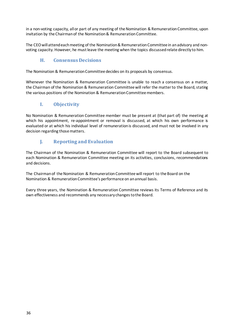in a non-voting capacity, all or part of any meeting of the Nomination & Remuneration Committee, upon invitation by the Chairman of the Nomination & Remuneration Committee.

The CEO will attend each meeting of the Nomination & Remuneration Committee in an advisory and nonvoting capacity. However, he must leave the meeting when the topics discussed relate directly to him.

#### **H. Consensus Decisions**

<span id="page-35-0"></span>The Nomination & Remuneration Committee decides on its proposals by consensus.

Whenever the Nomination & Remuneration Committee is unable to reach a consensus on a matter, the Chairman of the Nomination & Remuneration Committee will refer the matterto the Board, stating the various positions of the Nomination & Remuneration Committee members.

#### **I. Objectivity**

<span id="page-35-1"></span>No Nomination & Remuneration Committee member must be present at (that part of) the meeting at which his appointment, re-appointment or removal is discussed, at which his own performance is evaluated or at which his individual level of remuneration is discussed, and must not be involved in any decision regarding thosematters.

## **J. Reporting and Evaluation**

<span id="page-35-2"></span>The Chairman of the Nomination & Remuneration Committee will report to the Board subsequent to each Nomination & Remuneration Committee meeting on its activities, conclusions, recommendations and decisions.

The Chairman of the Nomination & Remuneration Committee will report to the Board on the Nomination & RemunerationCommittee's performance on an annual basis.

Every three years, the Nomination & Remuneration Committee reviews its Terms of Reference and its own effectiveness and recommends any necessary changes to the Board.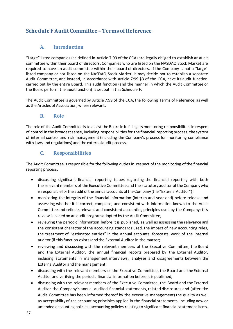## <span id="page-36-0"></span>**Schedule F Audit Committee – Terms of Reference**

#### **A. Introduction**

<span id="page-36-1"></span>"Large" listed companies (as defined in Article 7:99 of the CCA) are legally obliged to establish an audit committee within their board of directors. Companies who are listed on the NASDAQ Stock Market are required to have an audit committee within their board of directors. If the Company is not a "large" listed company or not listed on the NASDAQ Stock Market, it may decide not to establish a separate Audit Committee, and instead, in accordance with Article 7:99 §3 of the CCA, have its audit function carried out by the entire Board. This audit function (and the manner in which the Audit Committee or the Board perform the audit function) is set out in this Schedule F.

The Audit Committee is governed by Article 7:99 of the CCA, the following Terms of Reference, as well asthe Articles of Association, where relevant.

#### **B. Role**

<span id="page-36-2"></span>The role of the Audit Committee is to assist the Board in fulfilling its monitoring responsibilities in respect of control in the broadest sense, including responsibilities for the financial reporting process, the system of internal control and risk management (including the Company's process for monitoring compliance with laws and regulations) and the external audit process.

#### **C. Responsibilities**

<span id="page-36-3"></span>The Audit Committee is responsible for the following duties in respect of the monitoring of the financial reporting process:

- discussing significant financial reporting issues regarding the financial reporting with both the relevant members of the Executive Committee and the statutory auditor of the Company who is responsible for the audit of the annual accounts of the Company (the "External Auditor");
- monitoring the integrity of the financial information (interim and year-end) before release and assessing whether it is correct, complete, and consistent with information known to the Audit Committee and reflects relevant and consistent accounting principles used by the Company; this review is basedon an audit programadopted by the Audit Committee;
- reviewing the periodic information before it is published, as well as assessing the relevance and the consistent character of the accounting standards used, the impact of new accounting rules, the treatment of "estimated entries" in the annual accounts, forecasts, work of the internal auditor (if this function exists) and the External Auditor in the matter;
- reviewing and discussing with the relevant members of the Executive Committee, the Board and the External Auditor, the annual financial reports prepared by the External Auditor, including statements in management interviews, analyses and disagreements between the ExternalAuditor and the management;
- discussing with the relevant members of the Executive Committee, the Board and the External Auditor and verifying the periodic financial information before it is published;
- discussing with the relevant members of the Executive Committee, the Board and the External Auditor the Company's annual audited financial statements, related disclosures and (after the Audit Committee has been informed thereof by the executive management) the quality as well as acceptabilityof the accounting principles applied in the financial statements, including new or amended accounting policies, accounting policies relating to significant financial statement items,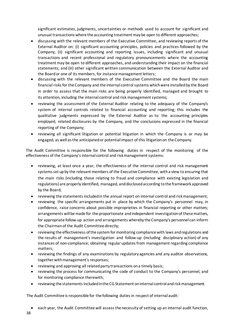significant estimates, judgments, uncertainties or methods used to account for significant and unusual transactions where the accounting treatment maybe open to different approaches;

- discussing with the relevant members of the Executive Committee, and reviewing reports of the External Auditor on: (i) significant accounting principles, policies and practices followed by the Company; (ii) significant accounting and reporting issues, including significant and unusual transactions and recent professional and regulatory pronouncements where the accounting treatment may be open to different approaches, and understanding their impact on the financial statements; and (iii) other significant written communication between the External Auditor and the Board or one of its members, for instance management letters;
- discussing with the relevant members of the Executive Committee and the Board the main financial risks for the Company and the internal control systems which were installed by the Board in order to assess that the main risks are being properly identified, managed and brought to its attention, including the internal control and risk management systems;
- reviewing the assessment of the External Auditor relating to the adequacy of the Company's system of internal controls related to financial accounting and reporting; this includes the qualitative judgments expressed by the External Auditor as to the accounting principles employed, related disclosures by the Company, and the conclusions expressed in the financial reporting of the Company;
- reviewing all significant litigation or potential litigation in which the Company is or may be engaged, as well asthe anticipatedor potential impact of this litigationon the Company.

The Audit Committee is responsible for the following duties in respect of the monitoring of the effectiveness of the Company's internal control and riskmanagement systems:

- reviewing, at least once a year, the effectiveness of the internal control and risk management systems set up by the relevant members of the Executive Committee, with a view to ensuring that the main risks (including those relating to fraud and compliance with existing legislation and regulations) are properly identified, managed, anddisclosedaccording tothe frameworkapproved by the Board;
- reviewing the statements included in the annual report on internal control and riskmanagement;
- reviewing the specific arrangements put in place by which the Company's personnel may, in confidence, raise concerns about possible improprieties in financial reporting or other matters; arrangements will be made for the proportionate and independent investigation of these matters, for appropriate follow-up action and arrangements whereby the Company's personnel can inform the Chairmanof the Audit Committee directly;
- reviewing the effectiveness of the system for monitoring compliance with laws and regulations and the results of management's investigation and follow-up (including disciplinary action) of any instances of non-compliance; obtaining regular updates from management regarding compliance matters;
- reviewing the findings of any examinations by regulatoryagencies and any auditor observations, together with management's responses;
- reviewing and approving all related party transactions on a timely basis;
- reviewing the process for communicating the code of conduct to the Company's personnel, and for monitoring compliance therewith;
- reviewing the statements included in the CG Statement on internal control and risk management.

The Audit Committee is responsible for the following dutiesin respect of internal audit:

• each year, the Audit Committee will assessthe necessity of setting up an internal audit function,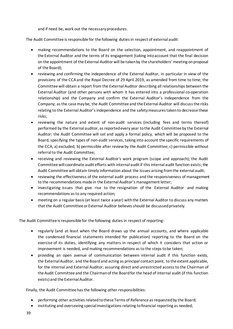and if need be, work out the necessary procedures.

The Audit Committee is responsible for the following dutiesin respect of external audit:

- making recommendations to the Board on the selection, appointment, and reappointment of the External Auditor and the terms of its engagement (taking intoaccount that the final decision on the appointment of the External Auditor will be taken by the shareholders' meeting on proposal of the Board);
- reviewing and confirming the independence of the External Auditor, in particular in view of the provisions of the CCAand the Royal Decree of 29 April 2019, as amended from time to time; the Committee will obtain a report from the ExternalAuditor describing all relationships between the External Auditor (and other persons with whom it has entered into a professional co-operation relationship) and the Company and confirm the External Auditor's independence from the Company; as the case may be, the Audit Committee and the External Auditor will discuss the risks relating to the External Auditor's independence and the safety measures taken to decrease these risks;
- reviewing the nature and extent of non-audit services (including fees and terms thereof) performed by the External auditor, as reported every year to the Audit Committee by the External Auditor; the Audit Committee will set and apply a formal policy, which will be proposed to the Board, specifying the types of non-audit services, taking into account the specific requirements of the CCA, a) excluded; b) permissible after review by the Audit Committee; c) permissible without referralto the Audit Committee;
- receiving and reviewing the External Auditor's work program (scope and approach); the Audit Committee will coordinate audit efforts with internal audit if this internal audit function exists; the Audit Committee will obtain timely information about the issues arising fromthe external audit;
- reviewing the effectiveness of the external audit process and the responsiveness of management to the recommendations made in the External Auditor's management letter;
- investigating issues that give rise to the resignation of the External Auditor and making recommendations as to any required action;
- meeting on a regular basis(at least twice a year) withthe External Auditor to discuss any matters that the Audit Committee or External Auditor believesshould be discussed privately.

The Audit Committee is responsible for the following duties in respect of reporting:

- regularly (and at least when the Board draws up the annual accounts, and where applicable the condensed financial statements intended for publication) reporting to the Board on the exercise of its duties, identifying any matters in respect of which it considers that action or improvement is needed, and making recommendations as to the steps to be taken;
- providing an open avenue of communication between internal audit if this function exists, the External Auditor, and the Boardand acting as principal contact point, to the extent applicable, for the internal and External Auditor; assuring direct and unrestricted access to the Chairman of the Audit Committee and the Chairman of the Board for the head of internal audit (if this function exists) and the External Auditor.

Finally, the Audit Committee has the following other responsibilities:

- performing other activities related to these Terms of Reference as requested by the Board;
- instituting and overseeing special investigations relating tofinancial reporting as needed;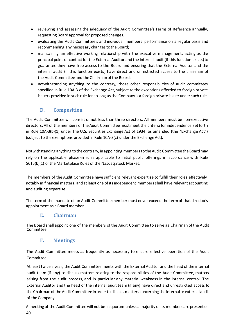- reviewing and assessing the adequacy of the Audit Committee's Terms of Reference annually, requesting Boardapproval for proposed changes;
- evaluating the Audit Committee's and individual members' performance on a regular basis and recommending any necessary changes to the Board;
- maintaining an effective working relationship with the executive management, acting as the principal point of contact for the External Auditor and the internal audit (if this function exists)to guarantee they have free access to the Board and ensuring that the External Auditor and the internal audit (if this function exists) have direct and unrestricted access to the chairman of the Audit Committee and the Chairmanof the Board;
- notwithstanding anything to the contrary, those other responsibilities of audit committees specified in Rule 10A-3 of the Exchange Act, subject to the exceptions afforded to foreign private issuers provided in such rule for so long as the Company is a foreign private issuer under such rule.

#### **D. Composition**

<span id="page-39-0"></span>The Audit Committee will consist of not less than three directors. All members must be non-executive directors. All of the members of the Audit Committee must meet the criteria for independence set forth in Rule 10A-3(b)(1) under the U.S. Securities Exchange Act of 1934, as amended (the "Exchange Act") (subject to the exemptions provided in Rule 10A-3(c) under the Exchange Act).

Notwithstanding anything to the contrary, in appointing members to the Audit Committee the Board may rely on the applicable phase-in rules applicable to initial public offerings in accordance with Rule 5615(b)(1) of the Marketplace Rules of the Nasdaq Stock Market.

The members of the Audit Committee have sufficient relevant expertise to fulfill their roles effectively, notably in financial matters, and at least one of its independent members shall have relevant accounting and auditing expertise.

The termof the mandate of an Audit Committeemember must never exceed the termof that director's appointment as a Board member.

#### **E. Chairman**

<span id="page-39-1"></span>The Board shall appoint one of the members of the Audit Committee to serve as Chairman of the Audit Committee.

#### **F. Meetings**

<span id="page-39-2"></span>The Audit Committee meets as frequently as necessary to ensure effective operation of the Audit Committee.

At least twice a year, the Audit Committee meets with the External Auditor and the head of the internal audit team (if any) to discuss matters relating to the responsibilities of the Audit Committee, matters arising from the audit process, and in particular any material weakness in the internal control. The External Auditor and the head of the internal audit team (if any) have direct and unrestricted access to the Chairman of the Audit Committee in order to discuss matters concerning the internal or external audit of the Company.

40 A meeting of the Audit Committee will not be in quorum unless a majority of its members are present or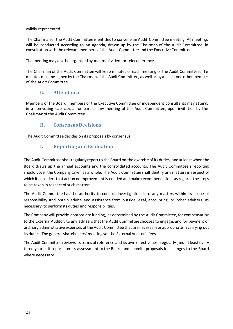validly represented.

The Chairmanof the Audit Committee is entitledto convene an Audit Committee meeting. All meetings will be conducted according to an agenda, drawn up by the Chairman of the Audit Committee, in consultationwith the relevant members of the Audit Committee and the Executive Committee.

The meeting may alsobe organized by means of video- or teleconference.

The Chairman of the Audit Committee will keep minutes of each meeting of the Audit Committee. The minutes must be signed by the Chairman of the Audit Committee, as well as byat least one othermember of the Audit Committee.

#### **G. Attendance**

<span id="page-40-0"></span>Members of the Board, members of the Executive Committee or independent consultants may attend, in a non-voting capacity, all or part of any meeting of the Audit Committee, upon invitation by the Chairman of the Audit Committee.

#### **H. Consensus Decisions**

<span id="page-40-2"></span><span id="page-40-1"></span>The Audit Committee decides on its proposals by consensus.

#### **I. Reporting and Evaluation**

The Audit Committee shall regularly report to the Board on the exercise of its duties, and at least when the Board draws up the annual accounts and the consolidated accounts. The Audit Committee's reporting should cover the Company taken as a whole. The Audit Committee shall identify any matters in respect of which it considers that action or improvement is needed and make recommendations as regards the steps to be taken in respect of such matters.

The Audit Committee has the authority to conduct investigations into any matters within its scope of responsibility and obtain advice and assistance from outside legal, accounting, or other advisers, as necessary, to perform its duties and responsibilities.

The Company will provide appropriate funding, as determined by the Audit Committee, for compensation to the External Auditor, to any advisers that the Audit Committee chooses to engage, and for payment of ordinary administrative expenses of the Audit Committee that are necessary or appropriate in carrying out its duties. The general shareholders' meeting set the External Auditor's fees.

The Audit Committee reviews its terms of reference and its own effectiveness regularly (and at least every three years). It reports on its assessment to the Board and submits proposals for changes to the Board where necessary.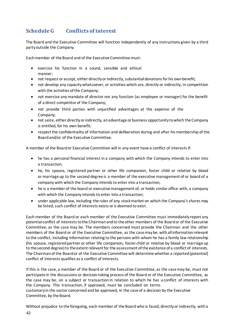## <span id="page-41-0"></span>**ScheduleG Conflicts of interest**

The Board and the Executive Committee will function independently of any instructions given by a third partyoutside the Company.

Each member of the Board and of the Executive Committee must:

- exercise his function in a sound, sensible and ethical manner;
- not request or accept, either directly or indirectly, substantial donations for his own benefit;
- not develop any capacitywhatsoever, or activities which are, directly or indirectly, in competition with the activities of the Company;
- not exercise any mandate of director nor any function (as employee or manager) for the benefit of a direct competitor of the Company;
- not provide third parties with unjustified advantages at the expense of the Company;
- not seize, either directlyor indirectly, anadvantage or business opportunity towhich the Company is entitled, for his own benefit;
- respect the confidentiality of information and deliberation during and after his membership of the Boardand/or of the Executive Committee.

A member of the Boardor Executive Committee will in any event have a conflict of interests if:

- he has a personal financial interest in a company with which the Company intends to enter into a transaction;
- he, his spouse, registered partner or other life companion, foster child or relative by blood or marriage up to the second degree is a member of the executive management of or board of a company with which the Company intends to enter into a transaction;
- he is a member of the board or executive management of, or holds similar office with, a company with which the Company intends to enter into a transaction;
- under applicable law, including the rules of any stockmarket on which the Company'sshares may be listed, such conflict of interests exists or is deemed to exist.

Each member of the Board or each member of the Executive Committee must immediately report any potential conflict of interests to the Chairman and to the other members of the Board or of the Executive Committee, as the case may be. The members concerned must provide the Chairman and the other members of the Board or of the Executive Committee, as the case maybe, withall informationrelevant to the conflict, including information relating to the persons with whom he has a family law relationship (his spouse, registered partner or other life companion, foster child or relative by blood or marriage up to the second degree) to the extent relevant for the assessment of the existence of a conflict of interests. The Chairman of the Boardor of the Executive Committee will determine whether a reported(potential) conflict of interests qualifies as a conflict of interests.

If this is the case, a member of the Board or of the Executive Committee, as the casemay be, must not participate in the discussions or decision-taking process of the Board or of the Executive Committee, as the case may be, on a subject or transaction in relation to which he has a conflict of interests with the Company. This transaction, if approved, must be concluded on terms customary in the sector concerned and be approved, in the case of a decision by the Executive Committee, by the Board.

Without prejudice to the foregoing, each member of the Board who is faced, directlyor indirectly, with a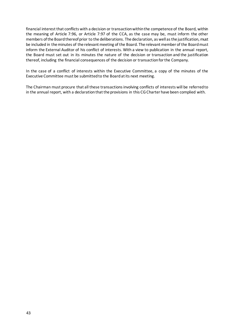financial interest that conflicts with a decision or transaction withinthe competence of the Board, within the meaning of Article 7:96, or Article 7:97 of the CCA, as the case may be, must inform the other members of the Board thereof prior to the deliberations. The declaration, as well as the justification, must be included in theminutes of the relevant meeting of the Board. The relevant member of the Board must inform the External Auditor of his conflict of interests. With a view to publication in the annual report, the Board must set out in its minutes the nature of the decision or transaction and the justification thereof, including the financial consequences of the decision or transactionforthe Company.

In the case of a conflict of interests within the Executive Committee, a copy of the minutes of the Executive Committee must be submitted to the Board at its next meeting.

The Chairman must procure that all these transactions involving conflicts of interests will be referred to in the annual report, with a declaration that the provisions in this CG Charter have been complied with.